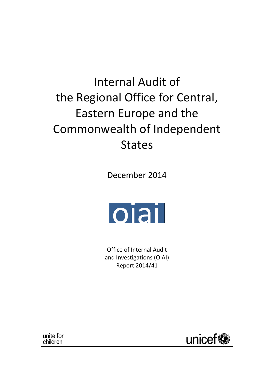# Internal Audit of the Regional Office for Central, Eastern Europe and the Commonwealth of Independent States

December 2014



Office of Internal Audit and Investigations (OIAI) Report 2014/41

unite for children

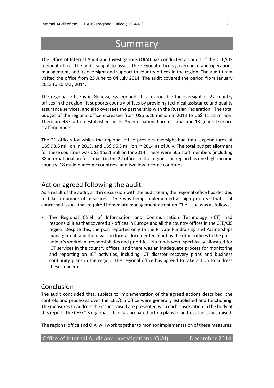## Summary

\_\_\_\_\_\_\_\_\_\_\_\_\_\_\_\_\_\_\_\_\_\_\_\_\_\_\_\_\_\_\_\_\_\_\_\_\_\_\_\_\_\_\_\_\_\_\_\_\_\_\_\_\_\_\_\_\_\_\_\_\_\_\_\_\_\_\_\_\_\_\_\_\_\_\_\_\_\_\_\_\_\_\_\_\_\_\_\_\_\_\_\_

The Office of Internal Audit and Investigations (OIAI) has conducted an audit of the CEE/CIS regional office. The audit sought to assess the regional office's governance and operations management, and its oversight and support to country offices in the region. The audit team visited the office from 23 June to 04 July 2014. The audit covered the period from January 2013 to 30 May 2014.

The regional office is in Geneva, Switzerland. It is responsible for oversight of 22 country offices in the region. It supports country offices by providing technical assistance and quality assurance services, and also oversees the partnership with the Russian Federation. The total budget of the regional office increased from US\$ 6.26 million in 2013 to US\$ 11.18 million. There are 48 staff on established posts: 35 international professional and 13 general service staff members.

The 21 offices for which the regional office provides oversight had total expenditures of US\$ 98.6 million in 2013, and US\$ 96.3 million in 2014 as of July. The total budget allotment for these countries was US\$ 153.1 million for 2014. There were 566 staff members (including 88 international professionals) in the 22 offices in the region. The region has one high-income country, 18 middle‐income countries, and two low‐income countries.

#### Action agreed following the audit

As a result of the audit, and in discussion with the audit team, the regional office has decided to take a number of measures. One was being implemented as high priority—that is, it concerned issues that required immediate management attention. The issue was as follows:

 The Regional Chief of Information and Communication Technology (ICT) had responsibilities that covered six offices in Europe and all the country offices in the CEE/CIS region. Despite this, the post reported only to the Private Fundraising and Partnerships management, and there was no formal documented input by the other offices to the postholder's workplan, responsibilities and priorities. No funds were specifically allocated for ICT services in the country offices, and there was an inadequate process for monitoring and reporting on ICT activities, including ICT disaster recovery plans and business continuity plans in the region. The regional office has agreed to take action to address these concerns.

#### Conclusion

The audit concluded that, subject to implementation of the agreed actions described, the controls and processes over the CEE/CIS office were generally established and functioning. The measures to address the issues raised are presented with each observation in the body of this report. The CEE/CIS regional office has prepared action plans to address the issues raised.

The regional office and OIAI will work together to monitor implementation of these measures.

| Office of Internal Audit and Investigations (OIAI) | December 2014 |
|----------------------------------------------------|---------------|
|----------------------------------------------------|---------------|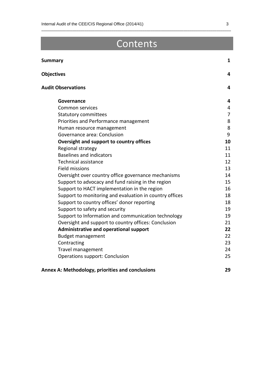## Contents

\_\_\_\_\_\_\_\_\_\_\_\_\_\_\_\_\_\_\_\_\_\_\_\_\_\_\_\_\_\_\_\_\_\_\_\_\_\_\_\_\_\_\_\_\_\_\_\_\_\_\_\_\_\_\_\_\_\_\_\_\_\_\_\_\_\_\_\_\_\_\_\_\_\_\_\_\_\_\_\_\_\_\_\_\_\_\_\_\_\_\_\_

| <b>Summary</b>                                          | 1              |
|---------------------------------------------------------|----------------|
| <b>Objectives</b>                                       | 4              |
| <b>Audit Observations</b>                               | 4              |
| Governance                                              | 4              |
| <b>Common services</b>                                  | 4              |
| <b>Statutory committees</b>                             | $\overline{7}$ |
| Priorities and Performance management                   | 8              |
| Human resource management                               | 8              |
| Governance area: Conclusion                             | 9              |
| Oversight and support to country offices                | 10             |
| Regional strategy                                       | 11             |
| <b>Baselines and indicators</b>                         | 11             |
| <b>Technical assistance</b>                             | 12             |
| <b>Field missions</b>                                   | 13             |
| Oversight over country office governance mechanisms     | 14             |
| Support to advocacy and fund raising in the region      | 15             |
| Support to HACT implementation in the region            | 16             |
| Support to monitoring and evaluation in country offices | 18             |
| Support to country offices' donor reporting             | 18             |
| Support to safety and security                          | 19             |
| Support to Information and communication technology     | 19             |
| Oversight and support to country offices: Conclusion    | 21             |
| Administrative and operational support                  | 22             |
| <b>Budget management</b>                                | 22             |
| Contracting                                             | 23             |
| Travel management                                       | 24             |
| Operations support: Conclusion                          | 25             |
| Annex A: Methodology, priorities and conclusions        | 29             |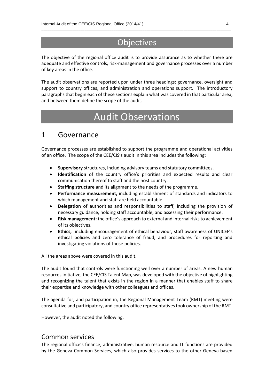## **Objectives**

\_\_\_\_\_\_\_\_\_\_\_\_\_\_\_\_\_\_\_\_\_\_\_\_\_\_\_\_\_\_\_\_\_\_\_\_\_\_\_\_\_\_\_\_\_\_\_\_\_\_\_\_\_\_\_\_\_\_\_\_\_\_\_\_\_\_\_\_\_\_\_\_\_\_\_\_\_\_\_\_\_\_\_\_\_\_\_\_\_\_\_\_

The objective of the regional office audit is to provide assurance as to whether there are adequate and effective controls, risk-management and governance processes over a number of key areas in the office.

The audit observations are reported upon under three headings: governance, oversight and support to country offices, and administration and operations support. The introductory paragraphs that begin each of these sections explain what was covered in that particular area, and between them define the scope of the audit.

## Audit Observations

#### 1 Governance

Governance processes are established to support the programme and operational activities of an office. The scope of the CEE/CIS's audit in this area includes the following:

- **Supervisory** structures, including advisory teams and statutory committees.
- **Identification** of the country office's priorities and expected results and clear communication thereof to staff and the host country.
- **Staffing structure** and its alignment to the needs of the programme.
- **Performance measurement,** including establishment of standards and indicators to which management and staff are held accountable.
- **Delegation** of authorities and responsibilities to staff, including the provision of necessary guidance, holding staff accountable, and assessing their performance.
- **Risk management:** the office's approach to external and internal risks to achievement of its objectives.
- **Ethics,** including encouragement of ethical behaviour, staff awareness of UNICEF's ethical policies and zero tolerance of fraud, and procedures for reporting and investigating violations of those policies.

All the areas above were covered in this audit.

The audit found that controls were functioning well over a number of areas. A new human resources initiative, the CEE/CIS Talent Map, was developed with the objective of highlighting and recognizing the talent that exists in the region in a manner that enables staff to share their expertise and knowledge with other colleagues and offices.

The agenda for, and participation in, the Regional Management Team (RMT) meeting were consultative and participatory, and country office representatives took ownership of the RMT.

However, the audit noted the following.

#### Common services

The regional office's finance, administrative, human resource and IT functions are provided by the Geneva Common Services, which also provides services to the other Geneva‐based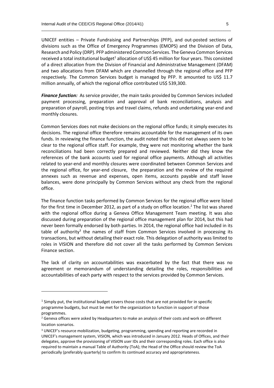UNICEF entities – Private Fundraising and Partnerships (PFP), and out‐posted sections of divisions such as the Office of Emergency Programmes (EMOPS) and the Division of Data, Research and Policy (DRP). PFP administered Common Services. The Geneva Common Services received a total institutional budget<sup>1</sup> allocation of US\$ 45 million for four years. This consisted of a direct allocation from the Division of Financial and Administrative Management (DFAM) and two allocations from DFAM which are channelled through the regional office and PFP respectively. The Common Services budget is managed by PFP. It amounted to US\$ 11.7 million annually, of which the regional office contributed US\$ 539,300.

\_\_\_\_\_\_\_\_\_\_\_\_\_\_\_\_\_\_\_\_\_\_\_\_\_\_\_\_\_\_\_\_\_\_\_\_\_\_\_\_\_\_\_\_\_\_\_\_\_\_\_\_\_\_\_\_\_\_\_\_\_\_\_\_\_\_\_\_\_\_\_\_\_\_\_\_\_\_\_\_\_\_\_\_\_\_\_\_\_\_\_\_

*Finance function:* As service provider, the main tasks provided by Common Services included payment processing, preparation and approval of bank reconciliations, analysis and preparation of payroll, posting trips and travel claims, refunds and undertaking year-end and monthly closures.

Common Services does not make decisions on the regional office funds; it simply executes its decisions. The regional office therefore remains accountable for the management of its own funds. In reviewing the finance function, the audit noted that this did not always seem to be clear to the regional office staff. For example, they were not monitoring whether the bank reconciliations had been correctly prepared and reviewed. Neither did they know the references of the bank accounts used for regional office payments. Although all activities related to year‐end and monthly closures were coordinated between Common Services and the regional office, for year‐end closure, the preparation and the review of the required annexes such as revenue and expenses, open items, accounts payable and staff leave balances, were done principally by Common Services without any check from the regional office.

The finance function tasks performed by Common Services for the regional office were listed for the first time in December 2012, as part of a study on office location. <sup>2</sup> The list was shared with the regional office during a Geneva Office Management Team meeting. It was also discussed during preparation of the regional office management plan for 2014, but this had never been formally endorsed by both parties. In 2014, the regional office had included in its table of authority<sup>3</sup> the names of staff from Common Services involved in processing its transactions, but without detailing their exact role. This delegation of authority was limited to roles in VISION and therefore did not cover all the tasks performed by Common Services Finance section.

The lack of clarity on accountabilities was exacerbated by the fact that there was no agreement or memorandum of understanding detailing the roles, responsibilities and accountabilities of each party with respect to the services provided by Common Services.

-

 $<sup>1</sup>$  Simply put, the institutional budget covers those costs that are not provided for in specific</sup> programme budgets, but must be met for the organization to function in support of those programmes.

<sup>&</sup>lt;sup>2</sup> Geneva offices were asked by Headquarters to make an analysis of their costs and work on different location scenarios.

<sup>&</sup>lt;sup>3</sup> UNICEF's resource mobilization, budgeting, programming, spending and reporting are recorded in UNICEF's management system, VISION, which was introduced in January 2012. Heads of Offices, and their delegates, approve the provisioning of VISION user IDs and their corresponding roles. Each office is also required to maintain a manual Table of Authority (ToA); the Head of the Office should review the ToA periodically (preferably quarterly) to confirm its continued accuracy and appropriateness.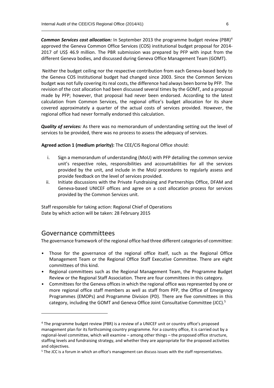*Common Services cost allocation:* In September 2013 the programme budget review (PBR)<sup>4</sup> approved the Geneva Common Office Services (COS) institutional budget proposal for 2014- 2017 of US\$ 46.9 million. The PBR submission was prepared by PFP with input from the different Geneva bodies, and discussed during Geneva Office Management Team (GOMT).

\_\_\_\_\_\_\_\_\_\_\_\_\_\_\_\_\_\_\_\_\_\_\_\_\_\_\_\_\_\_\_\_\_\_\_\_\_\_\_\_\_\_\_\_\_\_\_\_\_\_\_\_\_\_\_\_\_\_\_\_\_\_\_\_\_\_\_\_\_\_\_\_\_\_\_\_\_\_\_\_\_\_\_\_\_\_\_\_\_\_\_\_

Neither the budget ceiling nor the respective contribution from each Geneva-based body to the Geneva COS Institutional budget had changed since 2003. Since the Common Services budget was not fully covering its real costs, the difference had always been borne by PFP. The revision of the cost allocation had been discussed several times by the GOMT, and a proposal made by PFP; however, that proposal had never been endorsed. According to the latest calculation from Common Services, the regional office's budget allocation for its share covered approximately a quarter of the actual costs of services provided. However, the regional office had never formally endorsed this calculation.

*Quality of services:* As there was no memorandum of understanding setting out the level of services to be provided, there was no process to assess the adequacy of services.

**Agreed action 1 (medium priority):** The CEE/CIS Regional Office should:

- i. Sign a memorandum of understanding (MoU) with PFP detailing the common service unit's respective roles, responsibilities and accountabilities for all the services provided by the unit, and include in the MoU procedures to regularly assess and provide feedback on the level of services provided.
- ii. Initiate discussions with the Private Fundraising and Partnerships Office, DFAM and Geneva-based UNICEF offices and agree on a cost allocation process for services provided by the Common Services unit.

Staff responsible for taking action: Regional Chief of Operations Date by which action will be taken: 28 February 2015

#### Governance committees

1

The governance framework of the regional office had three different categories of committee:

- Those for the governance of the regional office itself, such as the Regional Office Management Team or the Regional Office Staff Executive Committee. There are eight committees of this kind.
- Regional committees such as the Regional Management Team, the Programme Budget Review or the Regional Staff Association. There are four committees in this category.
- Committees for the Geneva offices in which the regional office was represented by one or more regional office staff members as well as staff from PFP, the Office of Emergency Programmes (EMOPs) and Programme Division (PD). There are five committees in this category, including the GOMT and Geneva Office Joint Consultative Committee (JCC).<sup>5</sup>

<sup>4</sup> The programme budget review (PBR) is a review of a UNICEF unit or country office's proposed management plan for its forthcoming country programme. For a country office, it is carried out by a regional‐level committee, which will examine – among other things – the proposed office structure, staffing levels and fundraising strategy, and whether they are appropriate for the proposed activities and objectives.

<sup>&</sup>lt;sup>5</sup> The JCC is a forum in which an office's management can discuss issues with the staff representatives.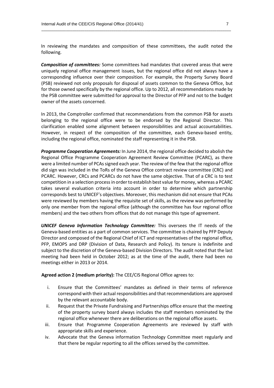In reviewing the mandates and composition of these committees, the audit noted the following.

\_\_\_\_\_\_\_\_\_\_\_\_\_\_\_\_\_\_\_\_\_\_\_\_\_\_\_\_\_\_\_\_\_\_\_\_\_\_\_\_\_\_\_\_\_\_\_\_\_\_\_\_\_\_\_\_\_\_\_\_\_\_\_\_\_\_\_\_\_\_\_\_\_\_\_\_\_\_\_\_\_\_\_\_\_\_\_\_\_\_\_\_

*Composition of committees:* Some committees had mandates that covered areas that were uniquely regional office management issues, but the regional office did not always have a corresponding influence over their composition. For example, the Property Survey Board (PSB) reviewed not only proposals for disposal of assets common to the Geneva Office, but for those owned specifically by the regional office. Up to 2012, all recommendations made by the PSB committee were submitted for approval to the Director of PFP and not to the budget owner of the assets concerned.

In 2013, the Comptroller confirmed that recommendations from the common PSB for assets belonging to the regional office were to be endorsed by the Regional Director. This clarification enabled some alignment between responsibilities and actual accountabilities. However, in respect of the composition of the committee, each Geneva-based entity, including the regional office, nominated the staff representing it in the PSB.

*Programme Cooperation Agreements:* In June 2014, the regional office decided to abolish the Regional Office Programme Cooperation Agreement Review Committee (PCARC), as there were a limited number of PCAs signed each year. The review of the few that the regional office did sign was included in the ToRs of the Geneva Office contract review committee (CRC) and PCARC. However, CRCs and PCARCs do not have the same objective. That of a CRC is to test competition in a selection process in order to establish best value for money, whereas a PCARC takes several evaluation criteria into account in order to determine which partnership corresponds best to UNICEF's objectives. Moreover, this mechanism did not ensure that PCAs were reviewed by members having the requisite set of skills, as the review was performed by only one member from the regional office (although the committee has four regional office members) and the two others from offices that do not manage this type of agreement.

*UNICEF Geneva Information Technology Committee:* This oversees the IT needs of the Geneva‐based entities as a part of common services. The committee is chaired by PFP Deputy Director and composed of the Regional Chief of ICT and representatives of the regional office, PFP, EMOPS and DRP (Division of Data, Research and Policy). Its tenure is indefinite and subject to the discretion of the Geneva‐based Division Directors. The audit noted that the last meeting had been held in October 2012; as at the time of the audit, there had been no meetings either in 2013 or 2014.

**Agreed action 2 (medium priority):** The CEE/CIS Regional Office agrees to:

- i. Ensure that the Committees' mandates as defined in their terms of reference correspond with their actual responsibilities and that recommendations are approved by the relevant accountable body.
- ii. Request that the Private Fundraising and Partnerships office ensure that the meeting of the property survey board always includes the staff members nominated by the regional office whenever there are deliberations on the regional office assets.
- iii. Ensure that Programme Cooperation Agreements are reviewed by staff with appropriate skills and experience.
- iv. Advocate that the Geneva information Technology Committee meet regularly and that there be regular reporting to all the offices served by the committee.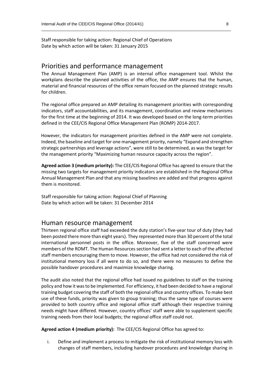Staff responsible for taking action: Regional Chief of Operations Date by which action will be taken: 31 January 2015

#### Priorities and performance management

The Annual Management Plan (AMP) is an internal office management tool. Whilst the workplans describe the planned activities of the office, the AMP ensures that the human, material and financial resources of the office remain focused on the planned strategic results for children.

\_\_\_\_\_\_\_\_\_\_\_\_\_\_\_\_\_\_\_\_\_\_\_\_\_\_\_\_\_\_\_\_\_\_\_\_\_\_\_\_\_\_\_\_\_\_\_\_\_\_\_\_\_\_\_\_\_\_\_\_\_\_\_\_\_\_\_\_\_\_\_\_\_\_\_\_\_\_\_\_\_\_\_\_\_\_\_\_\_\_\_\_

The regional office prepared an AMP detailing its management priorities with corresponding indicators, staff accountabilities, and its management, coordination and review mechanisms for the first time at the beginning of 2014. It was developed based on the long-term priorities defined in the CEE/CIS Regional Office Management Plan (ROMP) 2014-2017.

However, the indicators for management priorities defined in the AMP were not complete. Indeed, the baseline and target for one management priority, namely "Expand and strengthen strategic partnerships and leverage actions", were still to be determined, as was the target for the management priority "Maximizing human resource capacity across the region".

**Agreed action 3 (medium priority):** The CEE/CIS Regional Office has agreed to ensure that the missing two targets for management priority indicators are established in the Regional Office Annual Management Plan and that any missing baselines are added and that progress against them is monitored.

Staff responsible for taking action: Regional Chief of Planning Date by which action will be taken: 31 December 2014

#### Human resource management

Thirteen regional office staff had exceeded the duty station's five‐year tour of duty (they had been posted there more than eight years). They represented more than 30 percent of the total international personnel posts in the office. Moreover, five of the staff concerned were members of the ROMT. The Human Resources section had sent a letter to each of the affected staff members encouraging them to move. However, the office had not considered the risk of institutional memory loss if all were to do so, and there were no measures to define the possible handover procedures and maximize knowledge sharing.

The audit also noted that the regional office had issued no guidelines to staff on the training policy and how it was to be implemented. For efficiency, it had been decided to have a regional training budget covering the staff of both the regional office and country offices. To make best use of these funds, priority was given to group training; thus the same type of courses were provided to both country office and regional office staff although their respective training needs might have differed. However, country offices' staff were able to supplement specific training needs from their local budgets; the regional office staff could not.

**Agreed action 4 (medium priority):** The CEE/CIS Regional Office has agreed to:

i. Define and implement a process to mitigate the risk of institutional memory loss with changes of staff members, including handover procedures and knowledge sharing in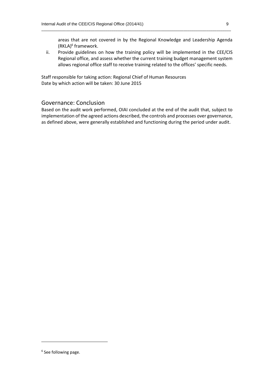areas that are not covered in by the Regional Knowledge and Leadership Agenda (RKLA)<sup>6</sup> framework.

ii. Provide guidelines on how the training policy will be implemented in the CEE/CIS Regional office, and assess whether the current training budget management system allows regional office staff to receive training related to the offices' specific needs.

Staff responsible for taking action: Regional Chief of Human Resources Date by which action will be taken: 30 June 2015

#### Governance: Conclusion

Based on the audit work performed, OIAI concluded at the end of the audit that, subject to implementation of the agreed actions described, the controls and processes over governance, as defined above, were generally established and functioning during the period under audit.

-

<sup>&</sup>lt;sup>6</sup> See following page.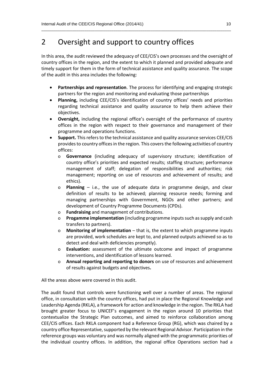## 2 Oversight and support to country offices

In this area, the audit reviewed the adequacy of CEE/CIS's own processes and the oversight of country offices in the region, and the extent to which it planned and provided adequate and timely support for them in the form of technical assistance and quality assurance. The scope of the audit in this area includes the following:

\_\_\_\_\_\_\_\_\_\_\_\_\_\_\_\_\_\_\_\_\_\_\_\_\_\_\_\_\_\_\_\_\_\_\_\_\_\_\_\_\_\_\_\_\_\_\_\_\_\_\_\_\_\_\_\_\_\_\_\_\_\_\_\_\_\_\_\_\_\_\_\_\_\_\_\_\_\_\_\_\_\_\_\_\_\_\_\_\_\_\_\_

- **Partnerships and representation**. The process for identifying and engaging strategic partners for the region and monitoring and evaluating those partnerships
- **Planning,** including CEE/CIS's identification of country offices' needs and priorities regarding technical assistance and quality assurance to help them achieve their objectives.
- **Oversight,** including the regional office's oversight of the performance of country offices in the region with respect to their governance and management of their programme and operations functions.
- **Support.** This refers to the technical assistance and quality assurance services CEE/CIS provides to country offices in the region. This covers the following activities of country offices:
	- o **Governance** (including adequacy of supervisory structure; identification of country office's priorities and expected results; staffing structure; performance management of staff; delegation of responsibilities and authorities; risk management; reporting on use of resources and achievement of results; and ethics).
	- o **Planning**  i.e., the use of adequate data in programme design, and clear definition of results to be achieved; planning resource needs; forming and managing partnerships with Government, NGOs and other partners; and development of Country Programme Documents (CPDs).
	- o **Fundraising** and management of contributions.
	- o **Progamme implementation** (including programme inputs such as supply and cash transfers to partners).
	- o **Monitoring of implementation** that is, the extent to which programme inputs are provided, work schedules are kept to, and planned outputs achieved so as to detect and deal with deficiencies promptly).
	- o **Evaluation:** assessment of the ultimate outcome and impact of programme interventions, and identification of lessons learned.
	- o **Annual reporting and reporting to donors** on use of resources and achievement of results against budgets and objectives**.**

All the areas above were covered in this audit.

The audit found that controls were functioning well over a number of areas. The regional office, in consultation with the country offices, had put in place the Regional Knowledge and Leadership Agenda (RKLA), a framework for action and knowledge in the region. The RKLA had brought greater focus to UNICEF's engagement in the region around 10 priorities that contextualize the Strategic Plan outcomes, and aimed to reinforce collaboration among CEE/CIS offices. Each RKLA component had a Reference Group (RG), which was chaired by a country office Representative, supported by the relevant Regional Advisor. Participation in the reference groups was voluntary and was normally aligned with the programmatic priorities of the individual country offices. In addition, the regional office Operations section had a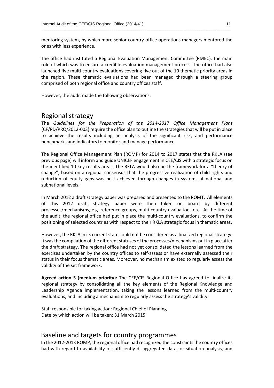mentoring system, by which more senior country‐office operations managers mentored the ones with less experience.

\_\_\_\_\_\_\_\_\_\_\_\_\_\_\_\_\_\_\_\_\_\_\_\_\_\_\_\_\_\_\_\_\_\_\_\_\_\_\_\_\_\_\_\_\_\_\_\_\_\_\_\_\_\_\_\_\_\_\_\_\_\_\_\_\_\_\_\_\_\_\_\_\_\_\_\_\_\_\_\_\_\_\_\_\_\_\_\_\_\_\_\_

The office had instituted a Regional Evaluation Management Committee (RMEC), the main role of which was to ensure a credible evaluation management process. The office had also launched five multi‐country evaluations covering five out of the 10 thematic priority areas in the region. These thematic evaluations had been managed through a steering group comprised of both regional office and country offices staff.

However, the audit made the following observations.

#### Regional strategy

The *Guidelines for the Preparation of the 2014-2017 Office Management Plans* (CF/PD/PRO/2012-003) require the office plan to outline the strategies that will be put in place to achieve the results including an analysis of the significant risk, and performance benchmarks and indicators to monitor and manage performance.

The Regional Office Management Plan (ROMP) for 2014 to 2017 states that the RKLA (see previous page) will inform and guide UNICEF engagement in CEE/CIS with a strategic focus on the identified 10 key results areas. The RKLA would also be the framework for a "theory of change", based on a regional consensus that the progressive realization of child rights and reduction of equity gaps was best achieved through changes in systems at national and subnational levels.

In March 2012 a draft strategy paper was prepared and presented to the ROMT. All elements of this 2012 draft strategy paper were then taken on board by different processes/mechanisms, e.g. reference groups, multi‐country evaluations etc. At the time of the audit, the regional office had put in place the multi‐country evaluations, to confirm the positioning of selected countries with respect to their RKLA strategic focus in thematic areas.

However, the RKLA in its current state could not be considered as a finalized regional strategy. It was the compilation of the different statuses of the processes/mechanisms put in place after the draft strategy. The regional office had not yet consolidated the lessons learned from the exercises undertaken by the country offices to self‐assess or have externally assessed their status in their focus thematic areas. Moreover, no mechanism existed to regularly assess the validity of the set framework.

**Agreed action 5 (medium priority):** The CEE/CIS Regional Office has agreed to finalize its regional strategy by consolidating all the key elements of the Regional Knowledge and Leadership Agenda implementation, taking the lessons learned from the multi-country evaluations, and including a mechanism to regularly assess the strategy's validity.

Staff responsible for taking action: Regional Chief of Planning Date by which action will be taken: 31 March 2015

#### Baseline and targets for country programmes

In the 2012‐2013 ROMP, the regional office had recognized the constraints the country offices had with regard to availability of sufficiently disaggregated data for situation analysis, and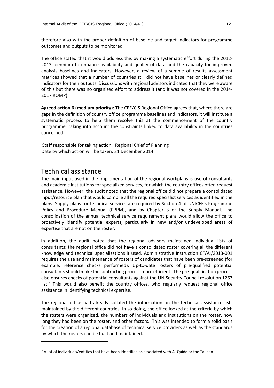therefore also with the proper definition of baseline and target indicators for programme outcomes and outputs to be monitored.

\_\_\_\_\_\_\_\_\_\_\_\_\_\_\_\_\_\_\_\_\_\_\_\_\_\_\_\_\_\_\_\_\_\_\_\_\_\_\_\_\_\_\_\_\_\_\_\_\_\_\_\_\_\_\_\_\_\_\_\_\_\_\_\_\_\_\_\_\_\_\_\_\_\_\_\_\_\_\_\_\_\_\_\_\_\_\_\_\_\_\_\_

The office stated that it would address this by making a systematic effort during the 2012- 2013 biennium to enhance availability and quality of data and the capacity for improved analysis baselines and indicators. However, a review of a sample of results assessment matrices showed that a number of countries still did not have baselines or clearly defined indicators for their outputs. Discussions with regional advisors indicated that they were aware of this but there was no organized effort to address it (and it was not covered in the 2014‐ 2017 ROMP).

**Agreed action 6 (medium priority):** The CEE/CIS Regional Office agrees that, where there are gaps in the definition of country office programme baselines and indicators, it will institute a systematic process to help them resolve this at the commencement of the country programme, taking into account the constraints linked to data availability in the countries concerned.

Staff responsible for taking action: Regional Chief of Planning Date by which action will be taken: 31 December 2014

#### Technical assistance

1

The main input used in the implementation of the regional workplans is use of consultants and academic institutions for specialized services, for which the country offices often request assistance. However, the audit noted that the regional office did not prepare a consolidated input/resource plan that would compile all the required specialist services as identified in the plans. Supply plans for technical services are required by Section 4 of UNICEF's Programme Policy and Procedure Manual (PPPM), and by Chapter 3 of the Supply Manual. The consolidation of the annual technical service requirement plans would allow the office to proactively identify potential experts, particularly in new and/or undeveloped areas of expertise that are not on the roster.

In addition, the audit noted that the regional advisors maintained individual lists of consultants; the regional office did not have a consolidated roster covering all the different knowledge and technical specializations it used. Administrative Instruction CF/AI/2013‐001 requires the use and maintenance of rosters of candidates that have been pre‐screened (for example, reference checks performed). Up-to-date rosters of pre-qualified potential consultants should make the contracting process more efficient. The pre‐qualification process also ensures checks of potential consultants against the UN Security Council resolution 1267 list.<sup>7</sup> This would also benefit the country offices, who regularly request regional office assistance in identifying technical expertise.

The regional office had already collated the information on the technical assistance lists maintained by the different countries. In so doing, the office looked at the criteria by which the rosters were organized, the numbers of individuals and institutions on the roster, how long they had been on the roster, and other factors. This was intended to form a solid basis for the creation of a regional database of technical service providers as well as the standards by which the rosters can be built and maintained.

 $7$  A list of individuals/entities that have been identified as associated with Al-Qaida or the Taliban.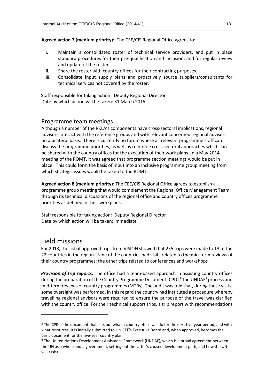**Agreed action 7 (medium priority):** The CEE/CIS Regional Office agrees to:

i. Maintain a consolidated roster of technical service providers, and put in place standard procedures for their pre‐qualification and inclusion, and for regular review and update of the roster.

\_\_\_\_\_\_\_\_\_\_\_\_\_\_\_\_\_\_\_\_\_\_\_\_\_\_\_\_\_\_\_\_\_\_\_\_\_\_\_\_\_\_\_\_\_\_\_\_\_\_\_\_\_\_\_\_\_\_\_\_\_\_\_\_\_\_\_\_\_\_\_\_\_\_\_\_\_\_\_\_\_\_\_\_\_\_\_\_\_\_\_\_

- ii. Share the roster with country offices for their contracting purposes.
- iii. Consolidate input supply plans and proactively source suppliers/consultants for technical services not covered by the roster.

Staff responsible for taking action: Deputy Regional Director Date by which action will be taken: 31 March 2015

#### Programme team meetings

Although a number of the RKLA's components have cross‐sectoral implications, regional advisors interact with the reference groups and with relevant concerned regional advisors on a bilateral basis. There is currently no forum where all relevant programme staff can discuss the programme priorities, as well as reinforce cross sectoral approaches which can be shared with the country offices for the execution of their work plans. In a May 2014 meeting of the ROMT, it was agreed that programme section meetings would be put in place. This could form the basis of input into an inclusive programme group meeting from which strategic issues would be taken to the ROMT.

**Agreed action 8 (medium priority)**: The CEE/CIS Regional Office agrees to establish a programme group meeting that would complement the Regional Office Management Team through its technical discussions of the regional office and country offices programme priorities as defined in their workplans.

Staff responsible for taking action: Deputy Regional Director Date by which action will be taken: Immediate

#### Field missions

-

For 2013, the list of approved trips from VISION showed that 255 trips were made to 13 of the 22 countries in the region. Nine of the countries had visits related to the mid‐term reviews of their country programmes; the other trips related to conferences and workshops

**Provision of trip reports:** The office had a team-based approach in assisting country offices during the preparation of the Country Programme Document (CPD),<sup>8</sup> the UNDAF<sup>9</sup> process and mid‐term reviews of country programmes (MTRs). The audit was told that, during these visits, some oversight was performed. In this regard the country had instituted a procedure whereby travelling regional advisors were required to ensure the purpose of the travel was clarified with the country office. For their technical support trips, a trip report with recommendations

<sup>&</sup>lt;sup>8</sup> The CPD is the document that sets out what a country office will do for the next five-year period, and with what resources. It is initially submitted to UNICEF's Executive Board and, when approved, becomes the basic document for the five‐year country plan.

<sup>9</sup> The United Nations Development Assistance Framework (UNDAF), which is a broad agreement between the UN as a whole and a government, setting out the latter's chosen development path, and how the UN will assist.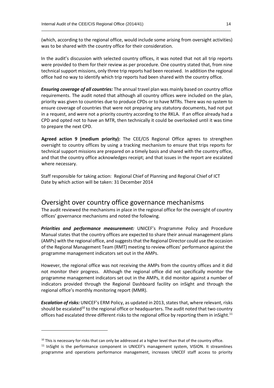(which, according to the regional office, would include some arising from oversight activities) was to be shared with the country office for their consideration.

\_\_\_\_\_\_\_\_\_\_\_\_\_\_\_\_\_\_\_\_\_\_\_\_\_\_\_\_\_\_\_\_\_\_\_\_\_\_\_\_\_\_\_\_\_\_\_\_\_\_\_\_\_\_\_\_\_\_\_\_\_\_\_\_\_\_\_\_\_\_\_\_\_\_\_\_\_\_\_\_\_\_\_\_\_\_\_\_\_\_\_\_

In the audit's discussion with selected country offices, it was noted that not all trip reports were provided to them for their review as per procedure. One country stated that, from nine technical support missions, only three trip reports had been received. In addition the regional office had no way to identify which trip reports had been shared with the country office.

*Ensuring coverage of all countries:* The annual travel plan was mainly based on country office requirements. The audit noted that although all country offices were included on the plan, priority was given to countries due to produce CPDs or to have MTRs. There was no system to ensure coverage of countries that were not preparing any statutory documents, had not put in a request, and were not a priority country according to the RKLA. If an office already had a CPD and opted not to have an MTR, then technically it could be overlooked until it was time to prepare the next CPD.

**Agreed action 9 (medium priority):** The CEE/CIS Regional Office agrees to strengthen oversight to country offices by using a tracking mechanism to ensure that trips reports for technical support missions are prepared on a timely basis and shared with the country office, and that the country office acknowledges receipt; and that issues in the report are escalated where necessary.

Staff responsible for taking action: Regional Chief of Planning and Regional Chief of ICT Date by which action will be taken: 31 December 2014

#### Oversight over country office governance mechanisms

The audit reviewed the mechanisms in place in the regional office for the oversight of country offices' governance mechanisms and noted the following.

*Priorities and performance measurement:* UNICEF's Programme Policy and Procedure Manual states that the country offices are expected to share their annual management plans (AMPs) with the regional office, and suggests that the Regional Director could use the occasion of the Regional Management Team (RMT) meeting to review offices' performance against the programme management indicators set out in the AMPs.

However, the regional office was not receiving the AMPs from the country offices and it did not monitor their progress. Although the regional office did not specifically monitor the programme management indicators set out in the AMPs, it did monitor against a number of indicators provided through the Regional Dashboard facility on inSight and through the regional office's monthly monitoring report (MMR).

*Escalation of risks:* UNICEF's ERM Policy, as updated in 2013, states that, where relevant, risks should be escalated<sup>10</sup> to the regional office or headquarters. The audit noted that two country offices had escalated three different risks to the regional office by reporting them in inSight.<sup>11</sup>

-

 $10$  This is necessary for risks that can only be addressed at a higher level than that of the country office.

<sup>&</sup>lt;sup>11</sup> InSight is the performance component in UNICEF's management system, VISION. It streamlines programme and operations performance management, increases UNICEF staff access to priority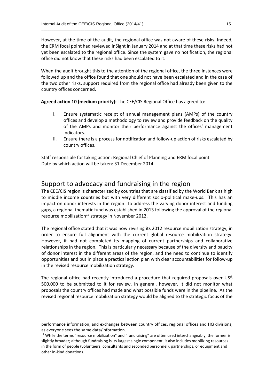However, at the time of the audit, the regional office was not aware of these risks. Indeed, the ERM focal point had reviewed inSight in January 2014 and at that time these risks had not yet been escalated to the regional office. Since the system gave no notification, the regional office did not know that these risks had been escalated to it.

\_\_\_\_\_\_\_\_\_\_\_\_\_\_\_\_\_\_\_\_\_\_\_\_\_\_\_\_\_\_\_\_\_\_\_\_\_\_\_\_\_\_\_\_\_\_\_\_\_\_\_\_\_\_\_\_\_\_\_\_\_\_\_\_\_\_\_\_\_\_\_\_\_\_\_\_\_\_\_\_\_\_\_\_\_\_\_\_\_\_\_\_

When the audit brought this to the attention of the regional office, the three instances were followed up and the office found that one should not have been escalated and in the case of the two other risks, support required from the regional office had already been given to the country offices concerned.

**Agreed action 10 (medium priority):** The CEE/CIS Regional Office has agreed to:

- i. Ensure systematic receipt of annual management plans (AMPs) of the country offices and develop a methodology to review and provide feedback on the quality of the AMPs and monitor their performance against the offices' management indicators.
- ii. Ensure there is a process for notification and follow-up action of risks escalated by country offices.

Staff responsible for taking action: Regional Chief of Planning and ERM focal point Date by which action will be taken: 31 December 2014

#### Support to advocacy and fundraising in the region

The CEE/CIS region is characterized by countries that are classified by the World Bank as high to middle income countries but with very different socio-political make-ups. This has an impact on donor interests in the region. To address the varying donor interest and funding gaps, a regional thematic fund was established in 2013 following the approval of the regional resource mobilization<sup>12</sup> strategy in November 2012.

The regional office stated that it was now revising its 2012 resource mobilization strategy, in order to ensure full alignment with the current global resource mobilization strategy. However, it had not completed its mapping of current partnerships and collaborative relationships in the region. This is particularly necessary because of the diversity and paucity of donor interest in the different areas of the region, and the need to continue to identify opportunities and put in place a practical action plan with clear accountabilities for follow-up in the revised resource mobilization strategy.

The regional office had recently introduced a procedure that required proposals over US\$ 500,000 to be submitted to it for review. In general, however, it did not monitor what proposals the country offices had made and what possible funds were in the pipeline. As the revised regional resource mobilization strategy would be aligned to the strategic focus of the

1

performance information, and exchanges between country offices, regional offices and HQ divisions, as everyone sees the same data/information.

<sup>&</sup>lt;sup>12</sup> While the terms "resource mobilization" and "fundraising" are often used interchangeably, the former is slightly broader; although fundraising is its largest single component, it also includes mobilizing resources in the form of people (volunteers, consultants and seconded personnel), partnerships, or equipment and other in‐kind donations.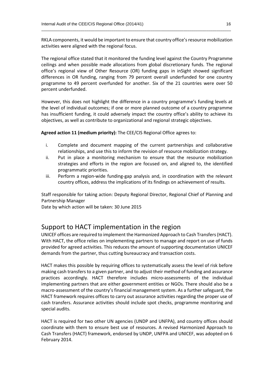RKLA components, it would be important to ensure that country office's resource mobilization activities were aligned with the regional focus.

\_\_\_\_\_\_\_\_\_\_\_\_\_\_\_\_\_\_\_\_\_\_\_\_\_\_\_\_\_\_\_\_\_\_\_\_\_\_\_\_\_\_\_\_\_\_\_\_\_\_\_\_\_\_\_\_\_\_\_\_\_\_\_\_\_\_\_\_\_\_\_\_\_\_\_\_\_\_\_\_\_\_\_\_\_\_\_\_\_\_\_\_

The regional office stated that it monitored the funding level against the Country Programme ceilings and when possible made allocations from global discretionary funds. The regional office's regional view of Other Resource (OR) funding gaps in inSight showed significant differences in OR funding, ranging from 79 percent overall underfunded for one country programme to 49 percent overfunded for another. Six of the 21 countries were over 50 percent underfunded.

However, this does not highlight the difference in a country programme's funding levels at the level of individual outcomes; if one or more planned outcome of a country programme has insufficient funding, it could adversely impact the country office's ability to achieve its objectives, as well as contribute to organizational and regional strategic objectives.

**Agreed action 11 (medium priority):** The CEE/CIS Regional Office agrees to:

- i. Complete and document mapping of the current partnerships and collaborative relationships, and use this to inform the revision of resource mobilization strategy.
- ii. Put in place a monitoring mechanism to ensure that the resource mobilization strategies and efforts in the region are focused on, and aligned to, the identified programmatic priorities.
- iii. Perform a region‐wide funding‐gap analysis and, in coordination with the relevant country offices, address the implications of its findings on achievement of results.

Staff responsible for taking action: Deputy Regional Director, Regional Chief of Planning and Partnership Manager

Date by which action will be taken: 30 June 2015

#### Support to HACT implementation in the region

UNICEF offices are required to implement the Harmonized Approach to Cash Transfers (HACT). With HACT, the office relies on implementing partners to manage and report on use of funds provided for agreed activities. This reduces the amount of supporting documentation UNICEF demands from the partner, thus cutting bureaucracy and transaction costs.

HACT makes this possible by requiring offices to systematically assess the level of risk before making cash transfers to a given partner, and to adjust their method of funding and assurance practices accordingly. HACT therefore includes micro‐assessments of the individual implementing partners that are either government entities or NGOs. There should also be a macro‐assessment of the country's financial management system. As a further safeguard, the HACT framework requires offices to carry out assurance activities regarding the proper use of cash transfers. Assurance activities should include spot checks, programme monitoring and special audits.

HACT is required for two other UN agencies (UNDP and UNFPA), and country offices should coordinate with them to ensure best use of resources. A revised Harmonized Approach to Cash Transfers (HACT) framework, endorsed by UNDP, UNFPA and UNICEF, was adopted on 6 February 2014.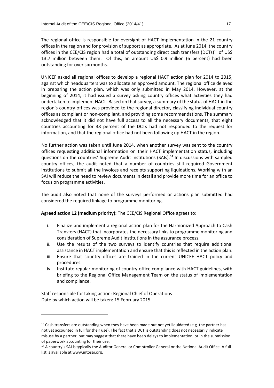The regional office is responsible for oversight of HACT implementation in the 21 country offices in the region and for provision of support as appropriate. As at June 2014, the country offices in the CEE/CIS region had a total of outstanding direct cash transfers (DCTs)<sup>13</sup> of US\$ 13.7 million between them. Of this, an amount US\$ 0.9 million (6 percent) had been outstanding for over six months.

\_\_\_\_\_\_\_\_\_\_\_\_\_\_\_\_\_\_\_\_\_\_\_\_\_\_\_\_\_\_\_\_\_\_\_\_\_\_\_\_\_\_\_\_\_\_\_\_\_\_\_\_\_\_\_\_\_\_\_\_\_\_\_\_\_\_\_\_\_\_\_\_\_\_\_\_\_\_\_\_\_\_\_\_\_\_\_\_\_\_\_\_

UNICEF asked all regional offices to develop a regional HACT action plan for 2014 to 2015, against which headquarters was to allocate an approved amount. The regional office delayed in preparing the action plan, which was only submitted in May 2014. However, at the beginning of 2014, it had issued a survey asking country offices what activities they had undertaken to implement HACT. Based on that survey, a summary of the status of HACT in the region's country offices was provided to the regional director, classifying individual country offices as compliant or non‐compliant, and providing some recommendations. The summary acknowledged that it did not have full access to all the necessary documents, that eight countries accounting for 38 percent of the DCTs had not responded to the request for information, and that the regional office had not been following up HACT in the region.

No further action was taken until June 2014, when another survey was sent to the country offices requesting additional information on their HACT implementation status, including questions on the countries' Supreme Audit Institutions (SAIs).<sup>14</sup> In discussions with sampled country offices, the audit noted that a number of countries still required Government institutions to submit all the invoices and receipts supporting liquidations. Working with an SAI will reduce the need to review documents in detail and provide more time for an office to focus on programme activities.

The audit also noted that none of the surveys performed or actions plan submitted had considered the required linkage to programme monitoring.

**Agreed action 12 (medium priority):** The CEE/CIS Regional Office agrees to:

- i. Finalize and implement a regional action plan for the Harmonized Approach to Cash Transfers (HACT) that incorporates the necessary links to programme monitoring and consideration of Supreme Audit Institutions in the assurance process.
- ii. Use the results of the two surveys to identify countries that require additional assistance in HACT implementation and ensure that this is reflected in the action plan.
- iii. Ensure that country offices are trained in the current UNICEF HACT policy and procedures.
- iv. Institute regular monitoring of country-office compliance with HACT guidelines, with briefing to the Regional Office Management Team on the status of implementation and compliance.

Staff responsible for taking action: Regional Chief of Operations Date by which action will be taken: 15 February 2015

-

 $13$  Cash transfers are outstanding when they have been made but not yet liquidated (e.g. the partner has not yet accounted in full for their use). The fact that a DCT is outstanding does not necessarily indicate misuse by a partner, but may suggest that there have been delays to implementation, or in the submission of paperwork accounting for their use.

<sup>&</sup>lt;sup>14</sup> A country's SAI is typically the Auditor General or Comptroller General or the National Audit Office. A full list is available at www.intosai.org.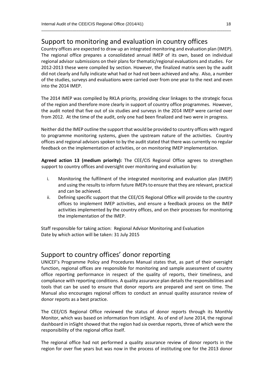#### Support to monitoring and evaluation in country offices

Country offices are expected to draw up an integrated monitoring and evaluation plan (IMEP). The regional office prepares a consolidated annual IMEP of its own, based on individual regional advisor submissions on their plans for thematic/regional evaluations and studies. For 2012-2013 these were compiled by section. However, the finalized matrix seen by the audit did not clearly and fully indicate what had or had not been achieved and why. Also, a number of the studies, surveys and evaluations were carried over from one year to the next and even into the 2014 IMEP.

\_\_\_\_\_\_\_\_\_\_\_\_\_\_\_\_\_\_\_\_\_\_\_\_\_\_\_\_\_\_\_\_\_\_\_\_\_\_\_\_\_\_\_\_\_\_\_\_\_\_\_\_\_\_\_\_\_\_\_\_\_\_\_\_\_\_\_\_\_\_\_\_\_\_\_\_\_\_\_\_\_\_\_\_\_\_\_\_\_\_\_\_

The 2014 IMEP was compiled by RKLA priority, providing clear linkages to the strategic focus of the region and therefore more clearly in support of country office programmes. However, the audit noted that five out of six studies and surveys in the 2014 IMEP were carried over from 2012. At the time of the audit, only one had been finalized and two were in progress.

Neither did the IMEP outline the support that would be provided to country offices with regard to programme monitoring systems, given the upstream nature of the activities. Country offices and regional advisors spoken to by the audit stated that there was currently no regular feedback on the implementation of activities, or on monitoring IMEP implementation.

**Agreed action 13 (medium priority):** The CEE/CIS Regional Office agrees to strengthen support to country offices and oversight over monitoring and evaluation by:

- i. Monitoring the fulfilment of the integrated monitoring and evaluation plan (IMEP) and using the results to inform future IMEPs to ensure that they are relevant, practical and can be achieved.
- ii. Defining specific support that the CEE/CIS Regional Office will provide to the country offices to implement IMEP activities, and ensure a feedback process on the IMEP activities implemented by the country offices, and on their processes for monitoring the implementation of the IMEP.

Staff responsible for taking action: Regional Advisor Monitoring and Evaluation Date by which action will be taken: 31 July 2015

#### Support to country offices' donor reporting

UNICEF's Programme Policy and Procedures Manual states that, as part of their oversight function, regional offices are responsible for monitoring and sample assessment of country office reporting performance in respect of the quality of reports, their timeliness, and compliance with reporting conditions. A quality assurance plan details the responsibilities and tools that can be used to ensure that donor reports are prepared and sent on time. The Manual also encourages regional offices to conduct an annual quality assurance review of donor reports as a best practice.

The CEE/CIS Regional Office reviewed the status of donor reports through its Monthly Monitor, which was based on information from inSight. As of end of June 2014, the regional dashboard in inSight showed that the region had six overdue reports, three of which were the responsibility of the regional office itself.

The regional office had not performed a quality assurance review of donor reports in the region for over five years but was now in the process of instituting one for the 2013 donor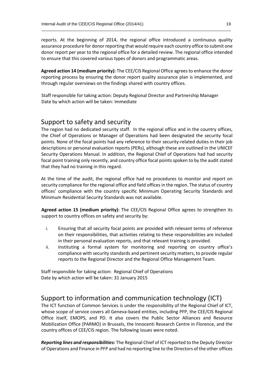reports. At the beginning of 2014, the regional office introduced a continuous quality assurance procedure for donor reporting that would require each country office to submit one donor report per year to the regional office for a detailed review. The regional office intended to ensure that this covered various types of donors and programmatic areas.

\_\_\_\_\_\_\_\_\_\_\_\_\_\_\_\_\_\_\_\_\_\_\_\_\_\_\_\_\_\_\_\_\_\_\_\_\_\_\_\_\_\_\_\_\_\_\_\_\_\_\_\_\_\_\_\_\_\_\_\_\_\_\_\_\_\_\_\_\_\_\_\_\_\_\_\_\_\_\_\_\_\_\_\_\_\_\_\_\_\_\_\_

**Agreed action 14 (medium priority):** The CEE/CIS Regional Office agrees to enhance the donor reporting process by ensuring the donor report quality assurance plan is implemented, and through regular overviews on the findings shared with country offices.

Staff responsible for taking action: Deputy Regional Director and Partnership Manager Date by which action will be taken: Immediate

#### Support to safety and security

The region had no dedicated security staff. In the regional office and in the country offices, the Chief of Operations or Manager of Operations had been designated the security focal points. None of the focal points had any reference to their security-related duties in their job descriptions or personal evaluation reports (PERs), although these are outlined in the UNICEF Security Operations Manual. In addition, the Regional Chief of Operations had had security focal point training only recently, and country office focal points spoken to by the audit stated that they had no training in this regard.

At the time of the audit, the regional office had no procedures to monitor and report on security compliance for the regional office and field offices in the region. The status of country offices' compliance with the country specific Minimum Operating Security Standards and Minimum Residential Security Standards was not available.

**Agreed action 15 (medium priority):** The CEE/CIS Regional Office agrees to strengthen its support to country offices on safety and security by:

- i. Ensuring that all security focal points are provided with relevant terms of reference on their responsibilities, that activities relating to these responsibilities are included in their personal evaluation reports, and that relevant training is provided.
- ii. Instituting a formal system for monitoring and reporting on country office's compliance with security standards and pertinent security matters, to provide regular reports to the Regional Director and the Regional Office Management Team.

Staff responsible for taking action: Regional Chief of Operations Date by which action will be taken: 31 January 2015

#### Support to information and communication technology (ICT)

The ICT function of Common Services is under the responsibility of the Regional Chief of ICT, whose scope of service covers all Geneva-based entities, including PFP, the CEE/CIS Regional Office itself, EMOPS, and PD. It also covers the Public Sector Alliances and Resource Mobilization Office (PARMO) in Brussels, the Innocenti Research Centre in Florence, and the country offices of CEE/CIS region. The following issues were noted.

*Reporting lines and responsibilities:* The Regional Chief of ICT reported to the Deputy Director of Operations and Finance in PFP and had no reporting line to the Directors of the other offices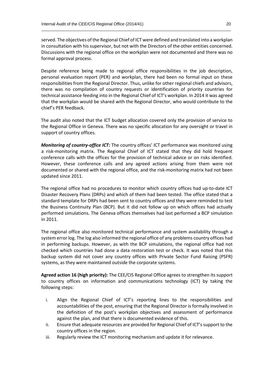served. The objectives of the Regional Chief of ICT were defined and translated into a workplan in consultation with his supervisor, but not with the Directors of the other entities concerned. Discussions with the regional office on the workplan were not documented and there was no formal approval process.

\_\_\_\_\_\_\_\_\_\_\_\_\_\_\_\_\_\_\_\_\_\_\_\_\_\_\_\_\_\_\_\_\_\_\_\_\_\_\_\_\_\_\_\_\_\_\_\_\_\_\_\_\_\_\_\_\_\_\_\_\_\_\_\_\_\_\_\_\_\_\_\_\_\_\_\_\_\_\_\_\_\_\_\_\_\_\_\_\_\_\_\_

Despite reference being made to regional office responsibilities in the job description, personal evaluation report (PER) and workplan, there had been no formal input on these responsibilities from the Regional Director. Thus, unlike for other regional chiefs and advisors, there was no compilation of country requests or identification of priority countries for technical assistance feeding into in the Regional Chief of ICT's workplan. In 2014 it was agreed that the workplan would be shared with the Regional Director, who would contribute to the chief's PER feedback.

The audit also noted that the ICT budget allocation covered only the provision of service to the Regional Office in Geneva. There was no specific allocation for any oversight or travel in support of country offices.

*Monitoring of country-office ICT:* The country offices' ICT performance was monitored using a risk‐monitoring matrix. The Regional Chief of ICT stated that they did hold frequent conference calls with the offices for the provision of technical advice or on risks identified. However, these conference calls and any agreed actions arising from them were not documented or shared with the regional office, and the risk-monitoring matrix had not been updated since 2011.

The regional office had no procedures to monitor which country offices had up‐to‐date ICT Disaster Recovery Plans (DRPs) and which of them had been tested. The office stated that a standard template for DRPs had been sent to country offices and they were reminded to test the Business Continuity Plan (BCP). But it did not follow up on which offices had actually performed simulations. The Geneva offices themselves had last performed a BCP simulation in 2011.

The regional office also monitored technical performance and system availability through a system error log. The log also informed the regional office of any problems country offices had in performing backups. However, as with the BCP simulations, the regional office had not checked which countries had done a data restoration test or check. It was noted that this backup system did not cover any country offices with Private Sector Fund Raising (PSFR) systems, as they were maintained outside the corporate systems.

**Agreed action 16 (high priority):** The CEE/CIS Regional Office agrees to strengthen its support to country offices on information and communications technology (ICT) by taking the following steps:

- i. Align the Regional Chief of ICT's reporting lines to the responsibilities and accountabilities of the post, ensuring that the Regional Director is formally involved in the definition of the post's workplan objectives and assessment of performance against the plan, and that there is documented evidence of this.
- ii. Ensure that adequate resources are provided for Regional Chief of ICT's support to the country offices in the region.
- iii. Regularly review the ICT monitoring mechanism and update it for relevance.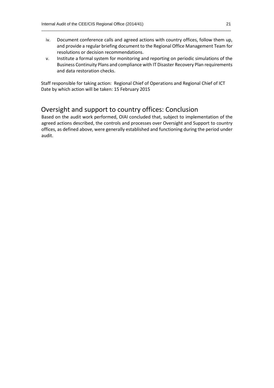iv. Document conference calls and agreed actions with country offices, follow them up, and provide a regular briefing document to the Regional Office Management Team for resolutions or decision recommendations.

\_\_\_\_\_\_\_\_\_\_\_\_\_\_\_\_\_\_\_\_\_\_\_\_\_\_\_\_\_\_\_\_\_\_\_\_\_\_\_\_\_\_\_\_\_\_\_\_\_\_\_\_\_\_\_\_\_\_\_\_\_\_\_\_\_\_\_\_\_\_\_\_\_\_\_\_\_\_\_\_\_\_\_\_\_\_\_\_\_\_\_\_

v. Institute a formal system for monitoring and reporting on periodic simulations of the Business Continuity Plans and compliance with IT Disaster Recovery Plan requirements and data restoration checks.

Staff responsible for taking action: Regional Chief of Operations and Regional Chief of ICT Date by which action will be taken: 15 February 2015

#### Oversight and support to country offices: Conclusion

Based on the audit work performed, OIAI concluded that, subject to implementation of the agreed actions described, the controls and processes over Oversight and Support to country offices, as defined above, were generally established and functioning during the period under audit.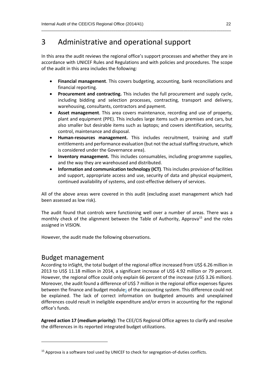## 3 Administrative and operational support

In this area the audit reviews the regional office's support processes and whether they are in accordance with UNICEF Rules and Regulations and with policies and procedures. The scope of the audit in this area includes the following*:*

\_\_\_\_\_\_\_\_\_\_\_\_\_\_\_\_\_\_\_\_\_\_\_\_\_\_\_\_\_\_\_\_\_\_\_\_\_\_\_\_\_\_\_\_\_\_\_\_\_\_\_\_\_\_\_\_\_\_\_\_\_\_\_\_\_\_\_\_\_\_\_\_\_\_\_\_\_\_\_\_\_\_\_\_\_\_\_\_\_\_\_\_

- **Financial management**. This covers budgeting, accounting, bank reconciliations and financial reporting.
- **Procurement and contracting.** This includes the full procurement and supply cycle, including bidding and selection processes, contracting, transport and delivery, warehousing, consultants, contractors and payment.
- **Asset management**. This area covers maintenance, recording and use of property, plant and equipment (PPE). This includes large items such as premises and cars, but also smaller but desirable items such as laptops; and covers identification, security, control, maintenance and disposal.
- **Human-resources management.** This includes recruitment, training and staff entitlements and performance evaluation (but not the actual staffing structure, which is considered under the Governance area).
- **Inventory management.** This includes consumables, including programme supplies, and the way they are warehoused and distributed.
- **Information and communication technology (ICT)**. This includes provision of facilities and support, appropriate access and use, security of data and physical equipment, continued availability of systems, and cost-effective delivery of services.

All of the above areas were covered in this audit (excluding asset management which had been assessed as low risk).

The audit found that controls were functioning well over a number of areas. There was a monthly check of the alignment between the Table of Authority, Approva<sup>15</sup> and the roles assigned in VISION.

However, the audit made the following observations.

#### Budget management

-

According to inSight, the total budget of the regional office increased from US\$ 6.26 million in 2013 to US\$ 11.18 million in 2014, a significant increase of US\$ 4.92 million or 79 percent. However, the regional office could only explain 66 percent of the increase (US\$ 3.26 million). Moreover, the audit found a difference of US\$ 7 million in the regional office expenses figures between the finance and budget modules of the accounting system. This difference could not be explained. The lack of correct information on budgeted amounts and unexplained differences could result in ineligible expenditure and/or errors in accounting for the regional office's funds.

**Agreed action 17 (medium priority):** The CEE/CIS Regional Office agrees to clarify and resolve the differences in its reported integrated budget utilizations.

<sup>&</sup>lt;sup>15</sup> Approva is a software tool used by UNICEF to check for segregation-of-duties conflicts.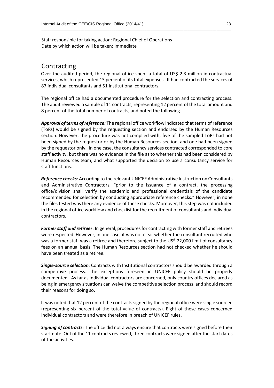Staff responsible for taking action: Regional Chief of Operations Date by which action will be taken: Immediate

#### Contracting

Over the audited period, the regional office spent a total of US\$ 2.3 million in contractual services, which represented 13 percent of its total expenses. It had contracted the services of 87 individual consultants and 51 institutional contractors.

\_\_\_\_\_\_\_\_\_\_\_\_\_\_\_\_\_\_\_\_\_\_\_\_\_\_\_\_\_\_\_\_\_\_\_\_\_\_\_\_\_\_\_\_\_\_\_\_\_\_\_\_\_\_\_\_\_\_\_\_\_\_\_\_\_\_\_\_\_\_\_\_\_\_\_\_\_\_\_\_\_\_\_\_\_\_\_\_\_\_\_\_

The regional office had a documented procedure for the selection and contracting process. The audit reviewed a sample of 11 contracts, representing 12 percent of the total amount and 8 percent of the total number of contracts, and noted the following.

*Approval of terms of reference:* The regional office workflow indicated that terms of reference (ToRs) would be signed by the requesting section and endorsed by the Human Resources section. However, the procedure was not complied with; five of the sampled ToRs had not been signed by the requestor or by the Human Resources section, and one had been signed by the requestor only. In one case, the consultancy services contracted corresponded to core staff activity, but there was no evidence in the file as to whether this had been considered by Human Resources team, and what supported the decision to use a consultancy service for staff functions.

*Reference checks:* According to the relevant UNICEF Administrative Instruction on Consultants and Administrative Contractors, "prior to the issuance of a contract, the processing office/division shall verify the academic and professional credentials of the candidate recommended for selection by conducting appropriate reference checks." However, in none the files tested was there any evidence of these checks. Moreover, this step was not included in the regional office workflow and checklist for the recruitment of consultants and individual contractors.

*Former staff and retirees:* In general, procedures for contracting with former staff and retirees were respected. However, in one case, it was not clear whether the consultant recruited who was a former staff was a retiree and therefore subject to the US\$ 22,000 limit of consultancy fees on an annual basis. The Human Resources section had not checked whether he should have been treated as a retiree.

*Single‐source selection:* Contracts with Institutional contractors should be awarded through a competitive process. The exceptions foreseen in UNICEF policy should be properly documented. As far as individual contractors are concerned, only country offices declared as being in emergency situations can waive the competitive selection process, and should record their reasons for doing so.

It was noted that 12 percent of the contracts signed by the regional office were single sourced (representing six percent of the total value of contracts). Eight of these cases concerned individual contractors and were therefore in breach of UNICEF rules.

*Signing of contracts:* The office did not always ensure that contracts were signed before their start date. Out of the 11 contracts reviewed, three contracts were signed after the start dates of the activities.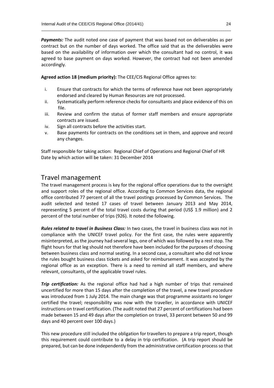*Payments:* The audit noted one case of payment that was based not on deliverables as per contract but on the number of days worked. The office said that as the deliverables were based on the availability of information over which the consultant had no control, it was agreed to base payment on days worked. However, the contract had not been amended accordingly.

\_\_\_\_\_\_\_\_\_\_\_\_\_\_\_\_\_\_\_\_\_\_\_\_\_\_\_\_\_\_\_\_\_\_\_\_\_\_\_\_\_\_\_\_\_\_\_\_\_\_\_\_\_\_\_\_\_\_\_\_\_\_\_\_\_\_\_\_\_\_\_\_\_\_\_\_\_\_\_\_\_\_\_\_\_\_\_\_\_\_\_\_

**Agreed action 18 (medium priority):** The CEE/CIS Regional Office agrees to:

- i. Ensure that contracts for which the terms of reference have not been appropriately endorsed and cleared by Human Resources are not processed.
- ii. Systematically perform reference checks for consultants and place evidence of this on file.
- iii. Review and confirm the status of former staff members and ensure appropriate contracts are issued.
- iv. Sign all contracts before the activities start.
- v. Base payments for contracts on the conditions set in them, and approve and record any changes.

Staff responsible for taking action: Regional Chief of Operations and Regional Chief of HR Date by which action will be taken: 31 December 2014

#### Travel management

The travel management process is key for the regional office operations due to the oversight and support roles of the regional office. According to Common Services data, the regional office contributed 77 percent of all the travel postings processed by Common Services. The audit selected and tested 17 cases of travel between January 2013 and May 2014, representing 5 percent of the total travel costs during that period (US\$ 1.9 million) and 2 percent of the total number of trips (926). It noted the following.

*Rules related to travel in Business Class:* In two cases, the travel in business class was not in compliance with the UNICEF travel policy. For the first case, the rules were apparently misinterpreted, as the journey had several legs, one of which was followed by a rest stop. The flight hours for that leg should not therefore have been included for the purposes of choosing between business class and normal seating. In a second case, a consultant who did not know the rules bought business class tickets and asked for reimbursement. It was accepted by the regional office as an exception. There is a need to remind all staff members, and where relevant, consultants, of the applicable travel rules.

*Trip certification:* As the regional office had had a high number of trips that remained uncertified for more than 15 days after the completion of the travel, a new travel procedure was introduced from 1 July 2014. The main change was that programme assistants no longer certified the travel; responsibility was now with the traveller, in accordance with UNICEF instructions on travel certification. (The audit noted that 27 percent of certifications had been made between 15 and 49 days after the completion on travel, 33 percent between 50 and 99 days and 40 percent over 100 days.)

This new procedure still included the obligation for travellers to prepare a trip report, though this requirement could contribute to a delay in trip certification. (A trip report should be prepared, but can be done independently from the administrative certification processso that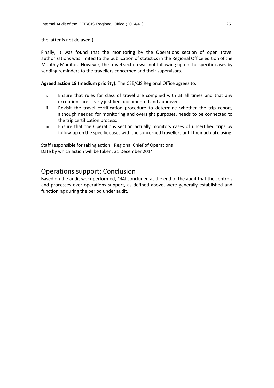the latter is not delayed.)

Finally, it was found that the monitoring by the Operations section of open travel authorizations was limited to the publication of statistics in the Regional Office edition of the Monthly Monitor. However, the travel section was not following up on the specific cases by sending reminders to the travellers concerned and their supervisors.

\_\_\_\_\_\_\_\_\_\_\_\_\_\_\_\_\_\_\_\_\_\_\_\_\_\_\_\_\_\_\_\_\_\_\_\_\_\_\_\_\_\_\_\_\_\_\_\_\_\_\_\_\_\_\_\_\_\_\_\_\_\_\_\_\_\_\_\_\_\_\_\_\_\_\_\_\_\_\_\_\_\_\_\_\_\_\_\_\_\_\_\_

**Agreed action 19 (medium priority):** The CEE/CIS Regional Office agrees to:

- i. Ensure that rules for class of travel are complied with at all times and that any exceptions are clearly justified, documented and approved.
- ii. Revisit the travel certification procedure to determine whether the trip report, although needed for monitoring and oversight purposes, needs to be connected to the trip certification process.
- iii. Ensure that the Operations section actually monitors cases of uncertified trips by follow-up on the specific cases with the concerned travellers until their actual closing.

Staff responsible for taking action: Regional Chief of Operations Date by which action will be taken: 31 December 2014

#### Operations support: Conclusion

Based on the audit work performed, OIAI concluded at the end of the audit that the controls and processes over operations support, as defined above, were generally established and functioning during the period under audit.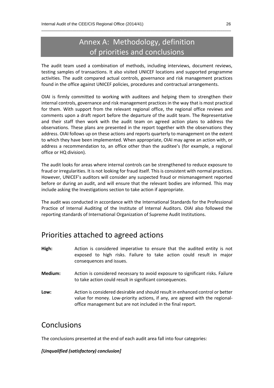## Annex A: Methodology, definition of priorities and conclusions

\_\_\_\_\_\_\_\_\_\_\_\_\_\_\_\_\_\_\_\_\_\_\_\_\_\_\_\_\_\_\_\_\_\_\_\_\_\_\_\_\_\_\_\_\_\_\_\_\_\_\_\_\_\_\_\_\_\_\_\_\_\_\_\_\_\_\_\_\_\_\_\_\_\_\_\_\_\_\_\_\_\_\_\_\_\_\_\_\_\_\_\_

The audit team used a combination of methods, including interviews, document reviews, testing samples of transactions. It also visited UNICEF locations and supported programme activities. The audit compared actual controls, governance and risk management practices found in the office against UNICEF policies, procedures and contractual arrangements.

OIAI is firmly committed to working with auditees and helping them to strengthen their internal controls, governance and risk management practices in the way that is most practical for them. With support from the relevant regional office, the regional office reviews and comments upon a draft report before the departure of the audit team. The Representative and their staff then work with the audit team on agreed action plans to address the observations. These plans are presented in the report together with the observations they address. OIAI follows up on these actions and reports quarterly to management on the extent to which they have been implemented. When appropriate, OIAI may agree an action with, or address a recommendation to, an office other than the auditee's (for example, a regional office or HQ division).

The audit looks for areas where internal controls can be strengthened to reduce exposure to fraud or irregularities. It is not looking for fraud itself. This is consistent with normal practices. However, UNICEF's auditors will consider any suspected fraud or mismanagement reported before or during an audit, and will ensure that the relevant bodies are informed. This may include asking the Investigations section to take action if appropriate.

The audit was conducted in accordance with the International Standards for the Professional Practice of Internal Auditing of the Institute of Internal Auditors. OIAI also followed the reporting standards of International Organization of Supreme Audit Institutions.

### Priorities attached to agreed actions

- **High:** Action is considered imperative to ensure that the audited entity is not exposed to high risks. Failure to take action could result in major consequences and issues.
- **Medium:** Action is considered necessary to avoid exposure to significant risks. Failure to take action could result in significant consequences.
- **Low:** Action is considered desirable and should result in enhanced control or better value for money. Low-priority actions, if any, are agreed with the regionaloffice management but are not included in the final report.

### **Conclusions**

The conclusions presented at the end of each audit area fall into four categories:

#### *[Unqualified (satisfactory) conclusion]*